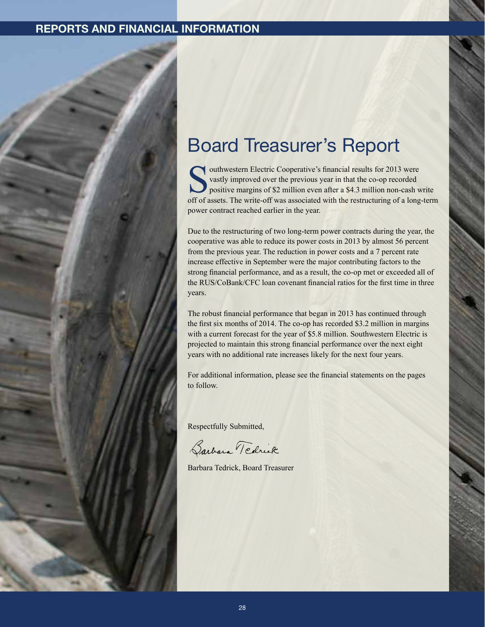

## Board Treasurer's Report

outhwestern Electric Cooperative's financial results for 2013 were vastly improved over the previous year in that the co-op recorded positive margins of \$2 million even after a \$4.3 million non-cash write off of assets. The write-off was associated with the restructuring of a long-term power contract reached earlier in the year.

Due to the restructuring of two long-term power contracts during the year, the cooperative was able to reduce its power costs in 2013 by almost 56 percent from the previous year. The reduction in power costs and a 7 percent rate increase effective in September were the major contributing factors to the strong financial performance, and as a result, the co-op met or exceeded all of the RUS/CoBank/CFC loan covenant financial ratios for the first time in three years.

The robust financial performance that began in 2013 has continued through the first six months of 2014. The co-op has recorded \$3.2 million in margins with a current forecast for the year of \$5.8 million. Southwestern Electric is projected to maintain this strong financial performance over the next eight years with no additional rate increases likely for the next four years.

For additional information, please see the financial statements on the pages to follow.

Respectfully Submitted,

Barbara Tedrick

Barbara Tedrick, Board Treasurer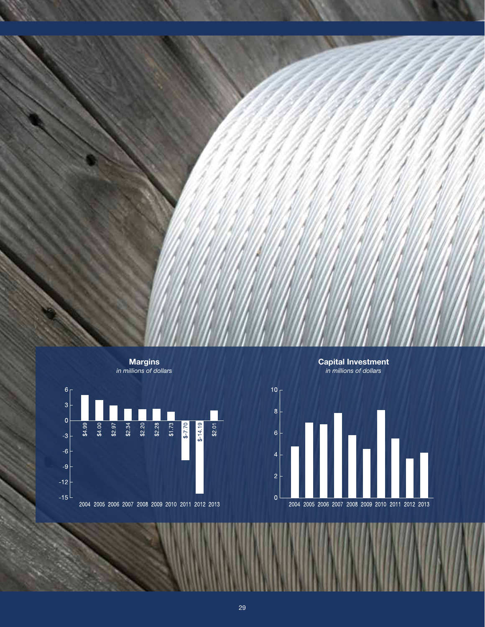



Capital Investment *in millions of dollars*



2004 2005 2006 2007 2008 2009 2010 2011 2012 2013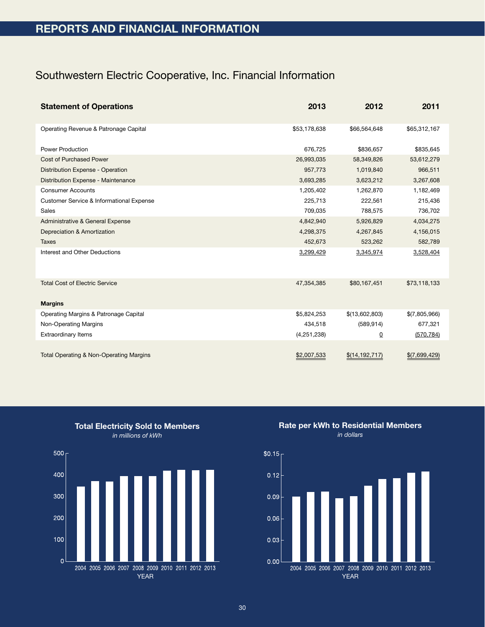## Southwestern Electric Cooperative, Inc. Financial Information

| <b>Statement of Operations</b>                     | 2013         | 2012             | 2011          |
|----------------------------------------------------|--------------|------------------|---------------|
| Operating Revenue & Patronage Capital              | \$53,178,638 | \$66,564,648     | \$65,312,167  |
| <b>Power Production</b>                            | 676,725      | \$836,657        | \$835,645     |
| <b>Cost of Purchased Power</b>                     | 26,993,035   | 58,349,826       | 53,612,279    |
| Distribution Expense - Operation                   | 957,773      | 1,019,840        | 966,511       |
| Distribution Expense - Maintenance                 | 3,693,285    | 3,623,212        | 3,267,608     |
| <b>Consumer Accounts</b>                           | 1,205,402    | 1,262,870        | 1,182,469     |
| Customer Service & Informational Expense           | 225,713      | 222,561          | 215,436       |
| Sales                                              | 709,035      | 788,575          | 736,702       |
| Administrative & General Expense                   | 4,842,940    | 5,926,829        | 4,034,275     |
| Depreciation & Amortization                        | 4,298,375    | 4,267,845        | 4,156,015     |
| <b>Taxes</b>                                       | 452,673      | 523,262          | 582,789       |
| Interest and Other Deductions                      | 3,299,429    | 3,345,974        | 3,528,404     |
| <b>Total Cost of Electric Service</b>              | 47,354,385   | \$80,167,451     | \$73,118,133  |
| <b>Margins</b>                                     |              |                  |               |
| Operating Margins & Patronage Capital              | \$5,824,253  | \$(13,602,803)   | \$(7,805,966) |
| Non-Operating Margins                              | 434,518      | (589, 914)       | 677,321       |
| <b>Extraordinary Items</b>                         | (4,251,238)  | $\underline{0}$  | (570, 784)    |
| <b>Total Operating &amp; Non-Operating Margins</b> | \$2,007,533  | \$(14, 192, 717) | \$(7,699,429) |

Total Electricity Sold to Members *in millions of kWh*



Rate per kWh to Residential Members *in dollars*